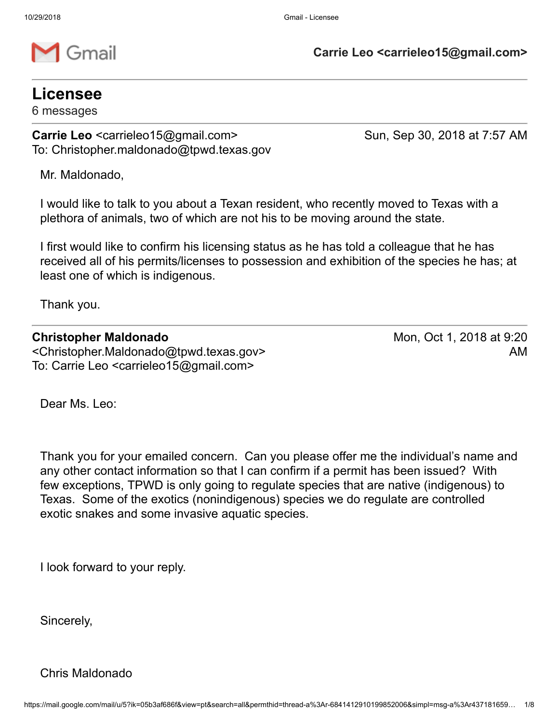

**Carrie Leo <carrieleo15@gmail.com>**

## **Licensee**

6 messages

**Carrie Leo** <carrieleo15@gmail.com> Sun, Sep 30, 2018 at 7:57 AM To: Christopher.maldonado@tpwd.texas.gov

Mr. Maldonado,

I would like to talk to you about a Texan resident, who recently moved to Texas with a plethora of animals, two of which are not his to be moving around the state.

I first would like to confirm his licensing status as he has told a colleague that he has received all of his permits/licenses to possession and exhibition of the species he has; at least one of which is indigenous.

Thank you.

#### **Christopher Maldonado**

<Christopher.Maldonado@tpwd.texas.gov> To: Carrie Leo <carrieleo15@gmail.com>

Mon, Oct 1, 2018 at 9:20 AM

Dear Ms. Leo:

Thank you for your emailed concern. Can you please offer me the individual's name and any other contact information so that I can confirm if a permit has been issued? With few exceptions, TPWD is only going to regulate species that are native (indigenous) to Texas. Some of the exotics (nonindigenous) species we do regulate are controlled exotic snakes and some invasive aquatic species.

I look forward to your reply.

Sincerely,

Chris Maldonado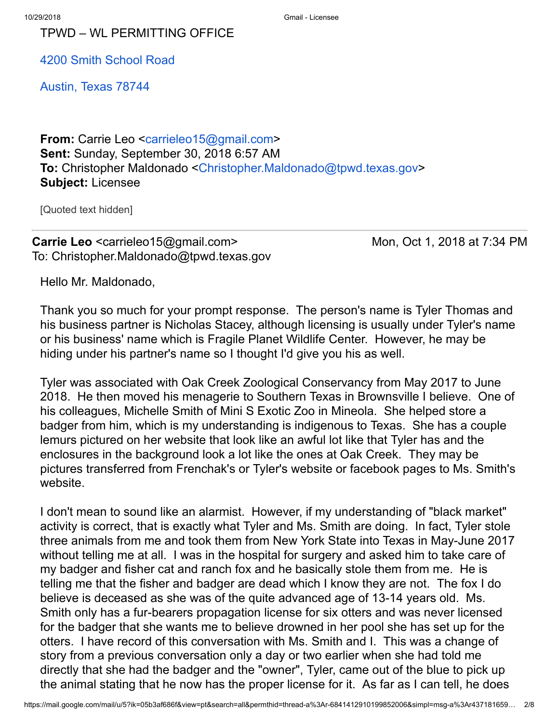TPWD – WL PERMITTING OFFICE

4200 Smith [School](https://maps.google.com/?q=4200+Smith+School+Road+%0D%0A+Austin,+Texas+78744&entry=gmail&source=g) Road

[Austin,](https://maps.google.com/?q=4200+Smith+School+Road+%0D%0A+Austin,+Texas+78744&entry=gmail&source=g) Texas 78744

**From:** Carrie Leo [<carrieleo15@gmail.com>](mailto:carrieleo15@gmail.com) **Sent:** Sunday, September 30, 2018 6:57 AM **To:** Christopher Maldonado <[Christopher.Maldonado@tpwd.texas.gov](mailto:Christopher.Maldonado@tpwd.texas.gov)> **Subject:** Licensee

[Quoted text hidden]

## **Carrie Leo** <carrieleo15@gmail.com> Mon, Oct 1, 2018 at 7:34 PM To: Christopher.Maldonado@tpwd.texas.gov

Hello Mr. Maldonado,

Thank you so much for your prompt response. The person's name is Tyler Thomas and his business partner is Nicholas Stacey, although licensing is usually under Tyler's name or his business' name which is Fragile Planet Wildlife Center. However, he may be hiding under his partner's name so I thought I'd give you his as well.

Tyler was associated with Oak Creek Zoological Conservancy from May 2017 to June 2018. He then moved his menagerie to Southern Texas in Brownsville I believe. One of his colleagues, Michelle Smith of Mini S Exotic Zoo in Mineola. She helped store a badger from him, which is my understanding is indigenous to Texas. She has a couple lemurs pictured on her website that look like an awful lot like that Tyler has and the enclosures in the background look a lot like the ones at Oak Creek. They may be pictures transferred from Frenchak's or Tyler's website or facebook pages to Ms. Smith's website.

I don't mean to sound like an alarmist. However, if my understanding of "black market" activity is correct, that is exactly what Tyler and Ms. Smith are doing. In fact, Tyler stole three animals from me and took them from New York State into Texas in May-June 2017 without telling me at all. I was in the hospital for surgery and asked him to take care of my badger and fisher cat and ranch fox and he basically stole them from me. He is telling me that the fisher and badger are dead which I know they are not. The fox I do believe is deceased as she was of the quite advanced age of 13-14 years old. Ms. Smith only has a fur-bearers propagation license for six otters and was never licensed for the badger that she wants me to believe drowned in her pool she has set up for the otters. I have record of this conversation with Ms. Smith and I. This was a change of story from a previous conversation only a day or two earlier when she had told me directly that she had the badger and the "owner", Tyler, came out of the blue to pick up the animal stating that he now has the proper license for it. As far as I can tell, he does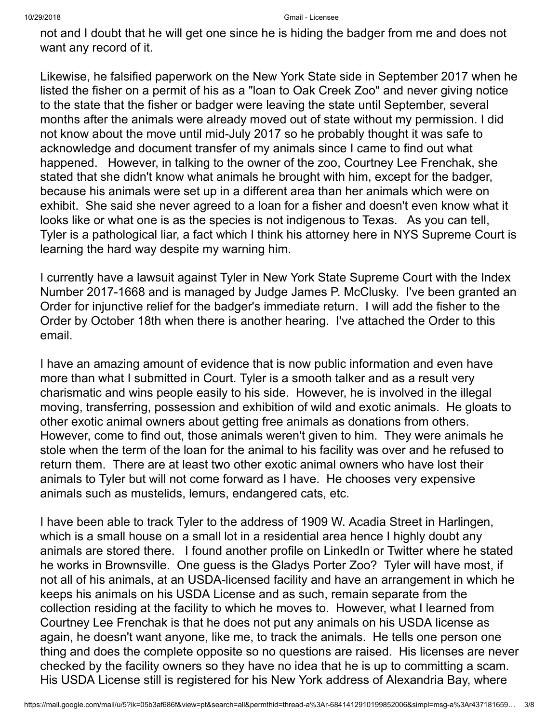not and I doubt that he will get one since he is hiding the badger from me and does not want any record of it.

Likewise, he falsified paperwork on the New York State side in September 2017 when he listed the fisher on a permit of his as a "loan to Oak Creek Zoo" and never giving notice to the state that the fisher or badger were leaving the state until September, several months after the animals were already moved out of state without my permission. I did not know about the move until mid-July 2017 so he probably thought it was safe to acknowledge and document transfer of my animals since I came to find out what happened. However, in talking to the owner of the zoo, Courtney Lee Frenchak, she stated that she didn't know what animals he brought with him, except for the badger, because his animals were set up in a different area than her animals which were on exhibit. She said she never agreed to a loan for a fisher and doesn't even know what it looks like or what one is as the species is not indigenous to Texas. As you can tell, Tyler is a pathological liar, a fact which I think his attorney here in NYS Supreme Court is learning the hard way despite my warning him.

I currently have a lawsuit against Tyler in New York State Supreme Court with the Index Number 2017-1668 and is managed by Judge James P. McClusky. I've been granted an Order for injunctive relief for the badger's immediate return. I will add the fisher to the Order by October 18th when there is another hearing. I've attached the Order to this email.

I have an amazing amount of evidence that is now public information and even have more than what I submitted in Court. Tyler is a smooth talker and as a result very charismatic and wins people easily to his side. However, he is involved in the illegal moving, transferring, possession and exhibition of wild and exotic animals. He gloats to other exotic animal owners about getting free animals as donations from others. However, come to find out, those animals weren't given to him. They were animals he stole when the term of the loan for the animal to his facility was over and he refused to return them. There are at least two other exotic animal owners who have lost their animals to Tyler but will not come forward as I have. He chooses very expensive animals such as mustelids, lemurs, endangered cats, etc.

I have been able to track Tyler to the address of 1909 W. Acadia Street in Harlingen, which is a small house on a small lot in a residential area hence I highly doubt any animals are stored there. I found another profile on LinkedIn or Twitter where he stated he works in Brownsville. One guess is the Gladys Porter Zoo? Tyler will have most, if not all of his animals, at an USDA-licensed facility and have an arrangement in which he keeps his animals on his USDA License and as such, remain separate from the collection residing at the facility to which he moves to. However, what I learned from Courtney Lee Frenchak is that he does not put any animals on his USDA license as again, he doesn't want anyone, like me, to track the animals. He tells one person one thing and does the complete opposite so no questions are raised. His licenses are never checked by the facility owners so they have no idea that he is up to committing a scam. His USDA License still is registered for his New York address of Alexandria Bay, where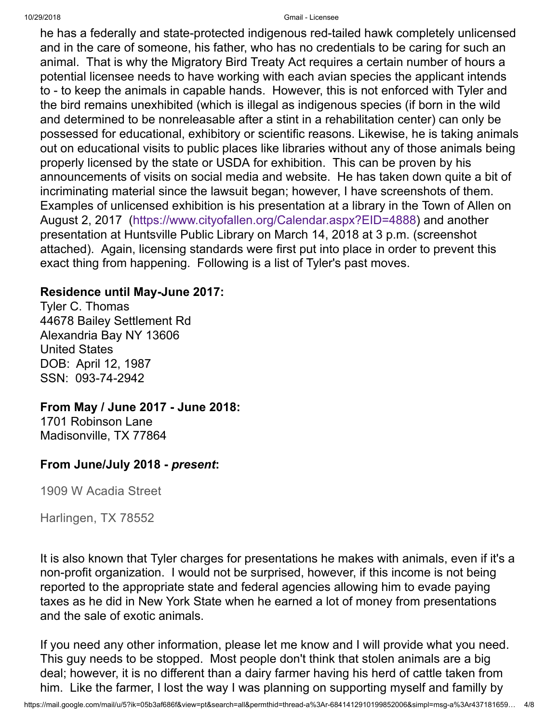he has a federally and state-protected indigenous red-tailed hawk completely unlicensed and in the care of someone, his father, who has no credentials to be caring for such an animal. That is why the Migratory Bird Treaty Act requires a certain number of hours a potential licensee needs to have working with each avian species the applicant intends to - to keep the animals in capable hands. However, this is not enforced with Tyler and the bird remains unexhibited (which is illegal as indigenous species (if born in the wild and determined to be nonreleasable after a stint in a rehabilitation center) can only be possessed for educational, exhibitory or scientific reasons. Likewise, he is taking animals out on educational visits to public places like libraries without any of those animals being properly licensed by the state or USDA for exhibition. This can be proven by his announcements of visits on social media and website. He has taken down quite a bit of incriminating material since the lawsuit began; however, I have screenshots of them. Examples of unlicensed exhibition is his presentation at a library in the Town of Allen on August 2, 2017 [\(https://www.cityofallen.org/Calendar.aspx?EID=4888\)](https://www.cityofallen.org/Calendar.aspx?EID=4888) and another presentation at Huntsville Public Library on March 14, 2018 at 3 p.m. (screenshot attached). Again, licensing standards were first put into place in order to prevent this exact thing from happening. Following is a list of Tyler's past moves.

### **Residence until May-June 2017:**

Tyler C. Thomas 44678 Bailey Settlement Rd Alexandria Bay NY 13606 United States DOB: April 12, 1987 SSN: 093-74-2942

### **From May / June 2017 - June 2018:**

1701 Robinson Lane Madisonville, TX 77864

### **From June/July 2018 -** *present***:**

1909 W Acadia Street

Harlingen, TX 78552

It is also known that Tyler charges for presentations he makes with animals, even if it's a non-profit organization. I would not be surprised, however, if this income is not being reported to the appropriate state and federal agencies allowing him to evade paying taxes as he did in New York State when he earned a lot of money from presentations and the sale of exotic animals.

If you need any other information, please let me know and I will provide what you need. This guy needs to be stopped. Most people don't think that stolen animals are a big deal; however, it is no different than a dairy farmer having his herd of cattle taken from him. Like the farmer, I lost the way I was planning on supporting myself and familly by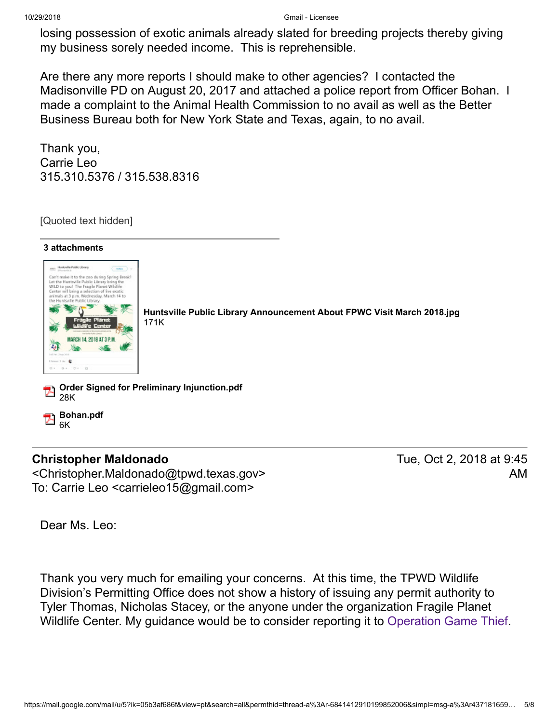losing possession of exotic animals already slated for breeding projects thereby giving my business sorely needed income. This is reprehensible.

Are there any more reports I should make to other agencies? I contacted the Madisonville PD on August 20, 2017 and attached a police report from Officer Bohan. I made a complaint to the Animal Health Commission to no avail as well as the Better Business Bureau both for New York State and Texas, again, to no avail.

Thank you, Carrie Leo 315.310.5376 / 315.538.8316

[Quoted text hidden]



### **Christopher Maldonado**

<Christopher.Maldonado@tpwd.texas.gov> To: Carrie Leo <carrieleo15@gmail.com>

Tue, Oct 2, 2018 at 9:45 AM

Dear Ms. Leo:

Thank you very much for emailing your concerns. At this time, the TPWD Wildlife Division's Permitting Office does not show a history of issuing any permit authority to Tyler Thomas, Nicholas Stacey, or the anyone under the organization Fragile Planet Wildlife Center. My guidance would be to consider reporting it to [Operation](https://tpwd.texas.gov/warden/connect/ogt) Game Thief.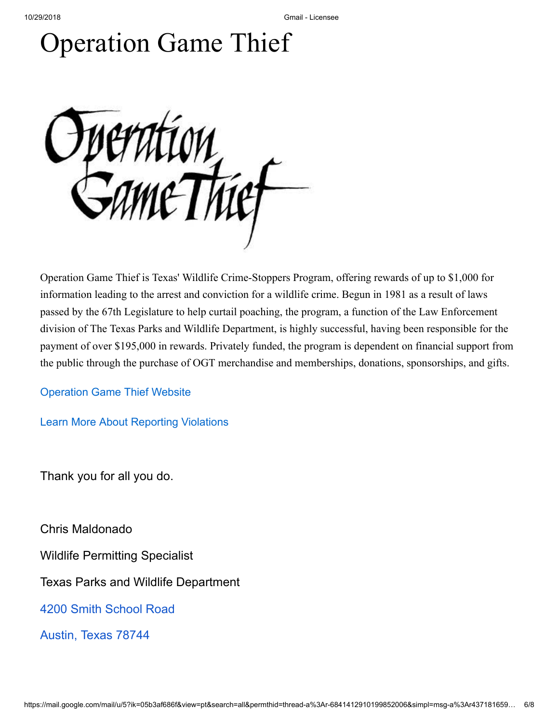# Operation Game Thief



Operation Game Thief is Texas' Wildlife Crime-Stoppers Program, offering rewards of up to \$1,000 for information leading to the arrest and conviction for a wildlife crime. Begun in 1981 as a result of laws passed by the 67th Legislature to help curtail poaching, the program, a function of the Law Enforcement division of The Texas Parks and Wildlife Department, is highly successful, having been responsible for the payment of over \$195,000 in rewards. Privately funded, the program is dependent on financial support from the public through the purchase of OGT merchandise and memberships, donations, sponsorships, and gifts.

[Operation Game Thief Website](http://www.ogttx.com/)

[Learn More About Reporting Violations](http://www.youtube.com/watch?v=t6PIezbAJSE)

Thank you for all you do.

Chris Maldonado

Wildlife Permitting Specialist

Texas Parks and Wildlife Department

4200 Smith [School](https://maps.google.com/?q=4200+Smith+School+Road+%0D%0A+Austin,+Texas+78744&entry=gmail&source=g) Road

[Austin,](https://maps.google.com/?q=4200+Smith+School+Road+%0D%0A+Austin,+Texas+78744&entry=gmail&source=g) Texas 78744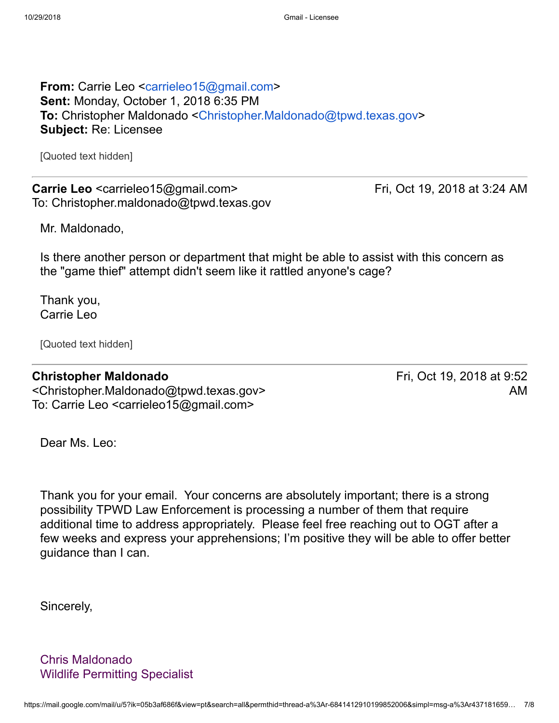**From:** Carrie Leo [<carrieleo15@gmail.com>](mailto:carrieleo15@gmail.com) **Sent:** Monday, October 1, 2018 6:35 PM **To:** Christopher Maldonado <[Christopher.Maldonado@tpwd.texas.gov](mailto:Christopher.Maldonado@tpwd.texas.gov)> **Subject:** Re: Licensee

[Quoted text hidden]

**Carrie Leo** <carrieleo15@gmail.com> Fri, Oct 19, 2018 at 3:24 AM To: Christopher.maldonado@tpwd.texas.gov

Mr. Maldonado,

Is there another person or department that might be able to assist with this concern as the "game thief" attempt didn't seem like it rattled anyone's cage?

Thank you, Carrie Leo

[Quoted text hidden]

#### **Christopher Maldonado**

<Christopher.Maldonado@tpwd.texas.gov> To: Carrie Leo <carrieleo15@gmail.com>

Fri, Oct 19, 2018 at 9:52 AM

Dear Ms. Leo:

Thank you for your email. Your concerns are absolutely important; there is a strong possibility TPWD Law Enforcement is processing a number of them that require additional time to address appropriately. Please feel free reaching out to OGT after a few weeks and express your apprehensions; I'm positive they will be able to offer better guidance than I can.

Sincerely,

Chris Maldonado Wildlife Permitting Specialist